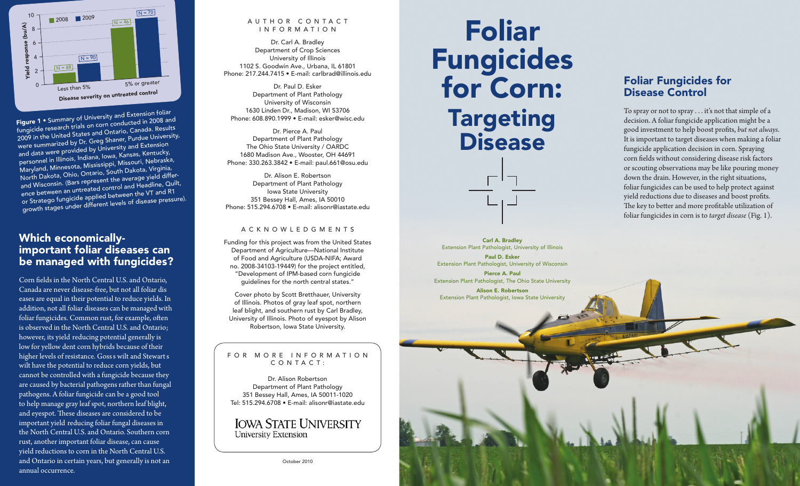

fungicide research trials on corn conducted in 2008 an<sup>d</sup> 2009 in the United States and Ontario, Canada. Results were summarized by Dr. Greg Shaner, Purdue University, and data were provided by University and Extension personnel in Illinois, Indiana, Iowa, kansas, kentucky, Maryland, Minnesota, Mississippi, Missouri, nebraska, north Dakota, Ohio, Ontario, South Dakota, Virginia, and Wisconsin. (Bars represent the average yield difference between an untreated control and Headline, Quilt, or Stratego fungicide applied between the VT and R1 growth stages under different levels of disease pressure). Figure 1 • Summary of University and Extension foliar

### Which economicallyimportant foliar diseases can be managed with fungicides?

Canada are never disease-free, but not all foliar dis - however, its yield reducing potential generally is ' ' higher levels of resistance. Goss s wilt and Stewart s - important yield reducing foliar fungal diseases in Corn felds in the North Central U.S. and Ontario, eases are equal in their potential to reduce yields. In addition, not all foliar diseases can be managed with foliar fungicides. Common rust, for example, ofen is observed in the North Central U.S. and Ontario; low for yellow dent corn hybrids because of their wilt have the potential to reduce corn yields, but cannot be controlled with a fungicide because they are caused by bacterial pathogens rather than fungal pathogens. A foliar fungicide can be a good tool to help manage gray leaf spot, northern leaf blight, and eyespot. These diseases are considered to be the North Central U.S. and Ontario. Southern corn rust, another important foliar disease, can cause yield reductions to corn in the North Central U.S. and Ontario in certain years, but generally is not an annual occurrence.

### A U T H O R C O N T A C T INFORMATION

Dr. Carl A. Bradley Department of Crop Sciences University of Illinois 1102 S. Goodwin Ave., Urbana, IL 61801 Phone: 217.244.7415 • E-mail: [carlbrad@illinois.edu](mailto:carlbrad@illinois.edu)

Dr. Paul D. Esker Department of Plant Pathology University of Wisconsin 1630 Linden Dr., Madison, WI 53706 Phone: 608.890.1999 • E-mail: [esker@wisc.edu](mailto:esker@wisc.edu)

Dr. Pierce A. Paul Department of Plant Pathology The Ohio State University / OARDC 1680 Madison Ave., Wooster, OH 44691 Phone: 330.263.3842 • E-mail: [paul.661@osu.edu](mailto:paul.661@osu.edu)

Dr. Alison E. Robertson Department of Plant Pathology Iowa State University 351 Bessey Hall, Ames, IA 50010 Phone: 515.294.6708 • E-mail: [alisonr@iastate.edu](mailto:alisonr@iastate.edu)

### ACknOWLEDGMEnTS

Funding for this project was from the United States Department of Agriculture-National Institute of Food and Agriculture (USDA-nIFA; Award no. 2008-34103-19449) for the project entitled, "Development of IPM-based corn fungicide guidelines for the north central states."

Cover photo by Scott Bretthauer, University of Illinois. Photos of gray leaf spot, northern leaf blight, and southern rust by Carl Bradley, University of Illinois. Photo of eyespot by Alison Robertson, Iowa State University.

#### F O R M O R E I N F O R M A T I O N C O N T A C T :

Dr. Alison Robertson Department of Plant Pathology 351 Bessey Hall, Ames, IA 50011-1020 Tel: 515.294.6708 • E-mail: alisonr@iastate.edu

### **IOWA STATE UNIVERSITY University Extension**

October 2010

# Foliar Fungicides for Corn: **Targeting Disease**

Carl A. Bradley Extension Plant Pathologist, University of Illinois Paul D. Esker

Extension Plant Pathologist, University of Wisconsin Pierce A. Paul Extension Plant Pathologist, The Ohio State University

Alison E. Robertson Extension Plant Pathologist, Iowa State University

# Foliar Fungicides for Disease Control

To spray or not to spray . . . it's not that simple of a decision. A foliar fungicide application might be a good investment to help boost profts, *but not always*. It is important to target diseases when making a foliar fungicide application decision in corn. Spraying corn felds without considering disease risk factors or scouting observations may be like pouring money down the drain. However, in the right situations, foliar fungicides can be used to help protect against yield reductions due to diseases and boost profts. The key to better and more profitable utilization of foliar fungicides in corn is to *target disease* (Fig. 1).